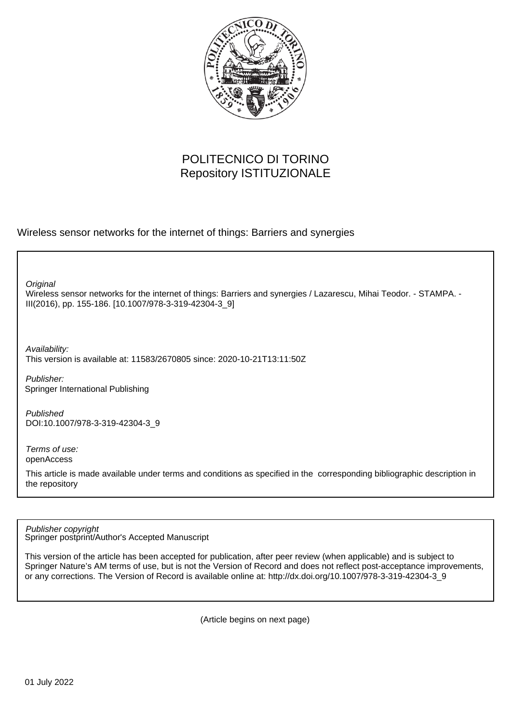

# POLITECNICO DI TORINO Repository ISTITUZIONALE

Wireless sensor networks for the internet of things: Barriers and synergies

**Original** 

Wireless sensor networks for the internet of things: Barriers and synergies / Lazarescu, Mihai Teodor. - STAMPA. - III(2016), pp. 155-186. [10.1007/978-3-319-42304-3\_9]

Availability: This version is available at: 11583/2670805 since: 2020-10-21T13:11:50Z

Publisher: Springer International Publishing

Published DOI:10.1007/978-3-319-42304-3\_9

Terms of use: openAccess

This article is made available under terms and conditions as specified in the corresponding bibliographic description in the repository

Springer postprint/Author's Accepted Manuscript Publisher copyright

This version of the article has been accepted for publication, after peer review (when applicable) and is subject to Springer Nature's AM terms of use, but is not the Version of Record and does not reflect post-acceptance improvements, or any corrections. The Version of Record is available online at: http://dx.doi.org/10.1007/978-3-319-42304-3\_9

(Article begins on next page)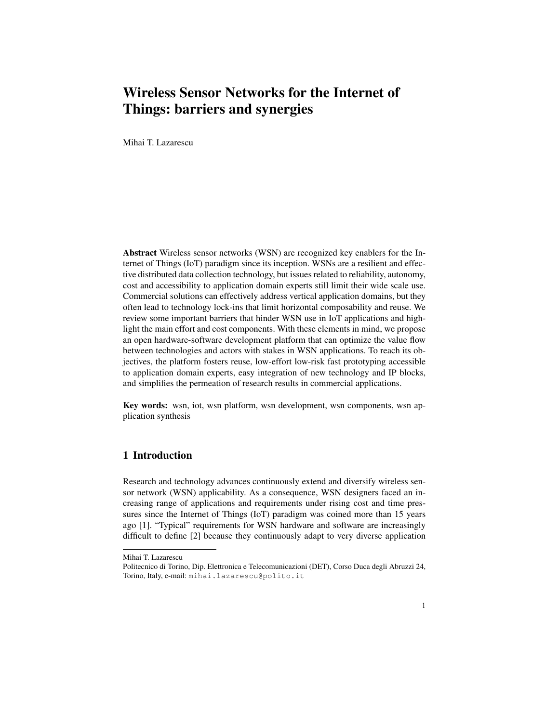# Wireless Sensor Networks for the Internet of Things: barriers and synergies

Mihai T. Lazarescu

Abstract Wireless sensor networks (WSN) are recognized key enablers for the Internet of Things (IoT) paradigm since its inception. WSNs are a resilient and effective distributed data collection technology, but issues related to reliability, autonomy, cost and accessibility to application domain experts still limit their wide scale use. Commercial solutions can effectively address vertical application domains, but they often lead to technology lock-ins that limit horizontal composability and reuse. We review some important barriers that hinder WSN use in IoT applications and highlight the main effort and cost components. With these elements in mind, we propose an open hardware-software development platform that can optimize the value flow between technologies and actors with stakes in WSN applications. To reach its objectives, the platform fosters reuse, low-effort low-risk fast prototyping accessible to application domain experts, easy integration of new technology and IP blocks, and simplifies the permeation of research results in commercial applications.

Key words: wsn, iot, wsn platform, wsn development, wsn components, wsn application synthesis

# 1 Introduction

Research and technology advances continuously extend and diversify wireless sensor network (WSN) applicability. As a consequence, WSN designers faced an increasing range of applications and requirements under rising cost and time pressures since the Internet of Things (IoT) paradigm was coined more than 15 years ago [1]. "Typical" requirements for WSN hardware and software are increasingly difficult to define [2] because they continuously adapt to very diverse application

Mihai T. Lazarescu

Politecnico di Torino, Dip. Elettronica e Telecomunicazioni (DET), Corso Duca degli Abruzzi 24, Torino, Italy, e-mail: mihai.lazarescu@polito.it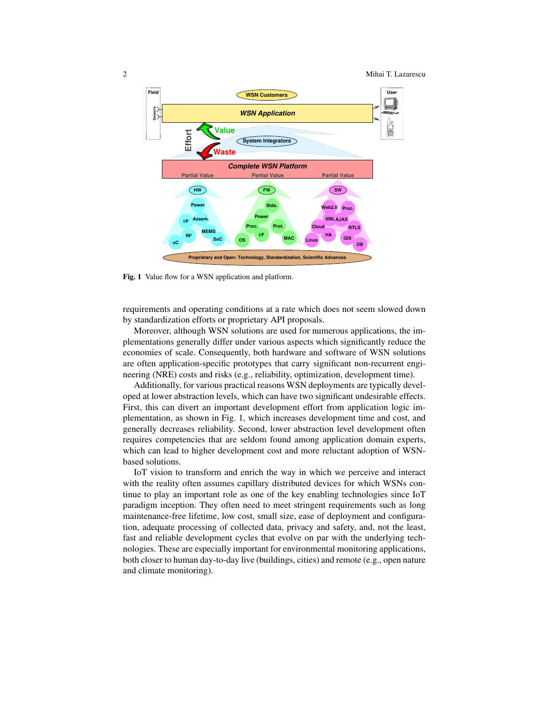

Fig. 1 Value flow for a WSN application and platform.

requirements and operating conditions at a rate which does not seem slowed down by standardization efforts or proprietary API proposals.

Moreover, although WSN solutions are used for numerous applications, the implementations generally differ under various aspects which significantly reduce the economies of scale. Consequently, both hardware and software of WSN solutions are often application-specific prototypes that carry significant non-recurrent engineering (NRE) costs and risks (e.g., reliability, optimization, development time).

Additionally, for various practical reasons WSN deployments are typically developed at lower abstraction levels, which can have two significant undesirable effects. First, this can divert an important development effort from application logic implementation, as shown in Fig. 1, which increases development time and cost, and generally decreases reliability. Second, lower abstraction level development often requires competencies that are seldom found among application domain experts, which can lead to higher development cost and more reluctant adoption of WSNbased solutions.

IoT vision to transform and enrich the way in which we perceive and interact with the reality often assumes capillary distributed devices for which WSNs continue to play an important role as one of the key enabling technologies since IoT paradigm inception. They often need to meet stringent requirements such as long maintenance-free lifetime, low cost, small size, ease of deployment and configuration, adequate processing of collected data, privacy and safety, and, not the least, fast and reliable development cycles that evolve on par with the underlying technologies. These are especially important for environmental monitoring applications, both closer to human day-to-day live (buildings, cities) and remote (e.g., open nature and climate monitoring).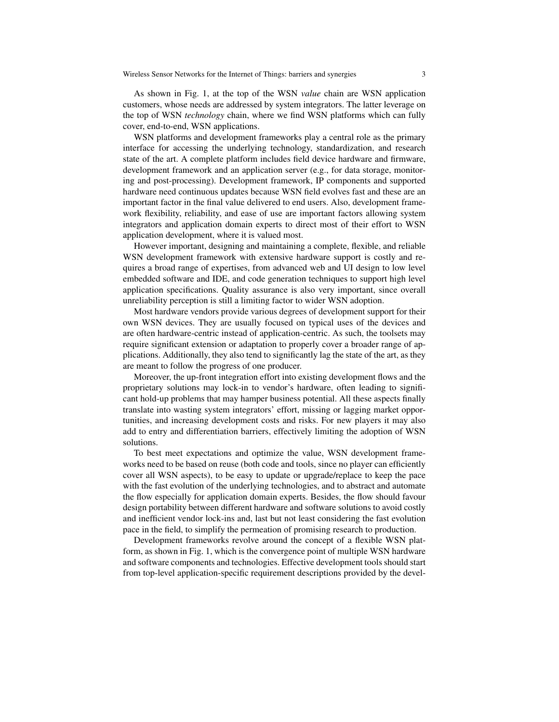As shown in Fig. 1, at the top of the WSN *value* chain are WSN application customers, whose needs are addressed by system integrators. The latter leverage on the top of WSN *technology* chain, where we find WSN platforms which can fully cover, end-to-end, WSN applications.

WSN platforms and development frameworks play a central role as the primary interface for accessing the underlying technology, standardization, and research state of the art. A complete platform includes field device hardware and firmware, development framework and an application server (e.g., for data storage, monitoring and post-processing). Development framework, IP components and supported hardware need continuous updates because WSN field evolves fast and these are an important factor in the final value delivered to end users. Also, development framework flexibility, reliability, and ease of use are important factors allowing system integrators and application domain experts to direct most of their effort to WSN application development, where it is valued most.

However important, designing and maintaining a complete, flexible, and reliable WSN development framework with extensive hardware support is costly and requires a broad range of expertises, from advanced web and UI design to low level embedded software and IDE, and code generation techniques to support high level application specifications. Quality assurance is also very important, since overall unreliability perception is still a limiting factor to wider WSN adoption.

Most hardware vendors provide various degrees of development support for their own WSN devices. They are usually focused on typical uses of the devices and are often hardware-centric instead of application-centric. As such, the toolsets may require significant extension or adaptation to properly cover a broader range of applications. Additionally, they also tend to significantly lag the state of the art, as they are meant to follow the progress of one producer.

Moreover, the up-front integration effort into existing development flows and the proprietary solutions may lock-in to vendor's hardware, often leading to significant hold-up problems that may hamper business potential. All these aspects finally translate into wasting system integrators' effort, missing or lagging market opportunities, and increasing development costs and risks. For new players it may also add to entry and differentiation barriers, effectively limiting the adoption of WSN solutions.

To best meet expectations and optimize the value, WSN development frameworks need to be based on reuse (both code and tools, since no player can efficiently cover all WSN aspects), to be easy to update or upgrade/replace to keep the pace with the fast evolution of the underlying technologies, and to abstract and automate the flow especially for application domain experts. Besides, the flow should favour design portability between different hardware and software solutions to avoid costly and inefficient vendor lock-ins and, last but not least considering the fast evolution pace in the field, to simplify the permeation of promising research to production.

Development frameworks revolve around the concept of a flexible WSN platform, as shown in Fig. 1, which is the convergence point of multiple WSN hardware and software components and technologies. Effective development tools should start from top-level application-specific requirement descriptions provided by the devel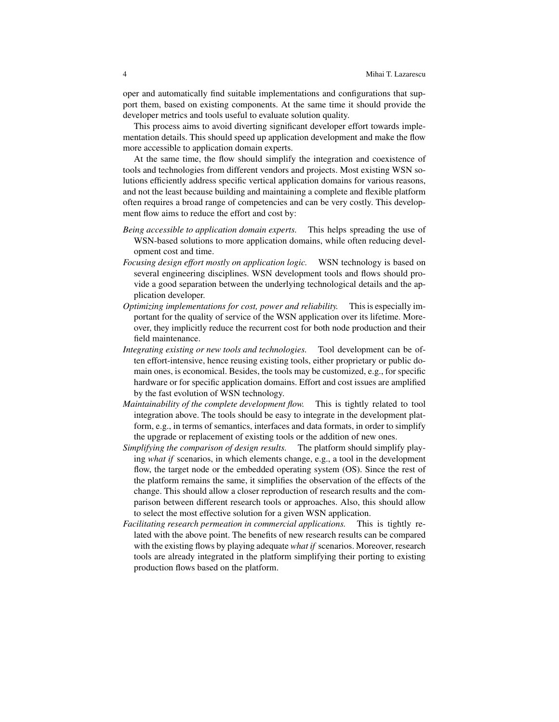oper and automatically find suitable implementations and configurations that support them, based on existing components. At the same time it should provide the developer metrics and tools useful to evaluate solution quality.

This process aims to avoid diverting significant developer effort towards implementation details. This should speed up application development and make the flow more accessible to application domain experts.

At the same time, the flow should simplify the integration and coexistence of tools and technologies from different vendors and projects. Most existing WSN solutions efficiently address specific vertical application domains for various reasons, and not the least because building and maintaining a complete and flexible platform often requires a broad range of competencies and can be very costly. This development flow aims to reduce the effort and cost by:

- *Being accessible to application domain experts.* This helps spreading the use of WSN-based solutions to more application domains, while often reducing development cost and time.
- *Focusing design effort mostly on application logic.* WSN technology is based on several engineering disciplines. WSN development tools and flows should provide a good separation between the underlying technological details and the application developer.
- *Optimizing implementations for cost, power and reliability.* This is especially important for the quality of service of the WSN application over its lifetime. Moreover, they implicitly reduce the recurrent cost for both node production and their field maintenance.
- *Integrating existing or new tools and technologies.* Tool development can be often effort-intensive, hence reusing existing tools, either proprietary or public domain ones, is economical. Besides, the tools may be customized, e.g., for specific hardware or for specific application domains. Effort and cost issues are amplified by the fast evolution of WSN technology.
- *Maintainability of the complete development flow.* This is tightly related to tool integration above. The tools should be easy to integrate in the development platform, e.g., in terms of semantics, interfaces and data formats, in order to simplify the upgrade or replacement of existing tools or the addition of new ones.
- *Simplifying the comparison of design results.* The platform should simplify playing *what if* scenarios, in which elements change, e.g., a tool in the development flow, the target node or the embedded operating system (OS). Since the rest of the platform remains the same, it simplifies the observation of the effects of the change. This should allow a closer reproduction of research results and the comparison between different research tools or approaches. Also, this should allow to select the most effective solution for a given WSN application.
- *Facilitating research permeation in commercial applications.* This is tightly related with the above point. The benefits of new research results can be compared with the existing flows by playing adequate *what if* scenarios. Moreover, research tools are already integrated in the platform simplifying their porting to existing production flows based on the platform.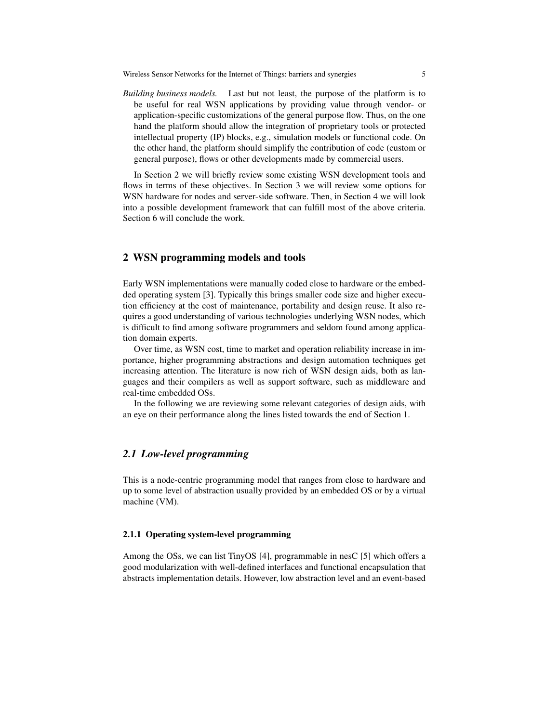Wireless Sensor Networks for the Internet of Things: barriers and synergies 5

*Building business models.* Last but not least, the purpose of the platform is to be useful for real WSN applications by providing value through vendor- or application-specific customizations of the general purpose flow. Thus, on the one hand the platform should allow the integration of proprietary tools or protected intellectual property (IP) blocks, e.g., simulation models or functional code. On the other hand, the platform should simplify the contribution of code (custom or general purpose), flows or other developments made by commercial users.

In Section 2 we will briefly review some existing WSN development tools and flows in terms of these objectives. In Section 3 we will review some options for WSN hardware for nodes and server-side software. Then, in Section 4 we will look into a possible development framework that can fulfill most of the above criteria. Section 6 will conclude the work.

# 2 WSN programming models and tools

Early WSN implementations were manually coded close to hardware or the embedded operating system [3]. Typically this brings smaller code size and higher execution efficiency at the cost of maintenance, portability and design reuse. It also requires a good understanding of various technologies underlying WSN nodes, which is difficult to find among software programmers and seldom found among application domain experts.

Over time, as WSN cost, time to market and operation reliability increase in importance, higher programming abstractions and design automation techniques get increasing attention. The literature is now rich of WSN design aids, both as languages and their compilers as well as support software, such as middleware and real-time embedded OSs.

In the following we are reviewing some relevant categories of design aids, with an eye on their performance along the lines listed towards the end of Section 1.

# *2.1 Low-level programming*

This is a node-centric programming model that ranges from close to hardware and up to some level of abstraction usually provided by an embedded OS or by a virtual machine (VM).

## 2.1.1 Operating system-level programming

Among the OSs, we can list TinyOS [4], programmable in nesC [5] which offers a good modularization with well-defined interfaces and functional encapsulation that abstracts implementation details. However, low abstraction level and an event-based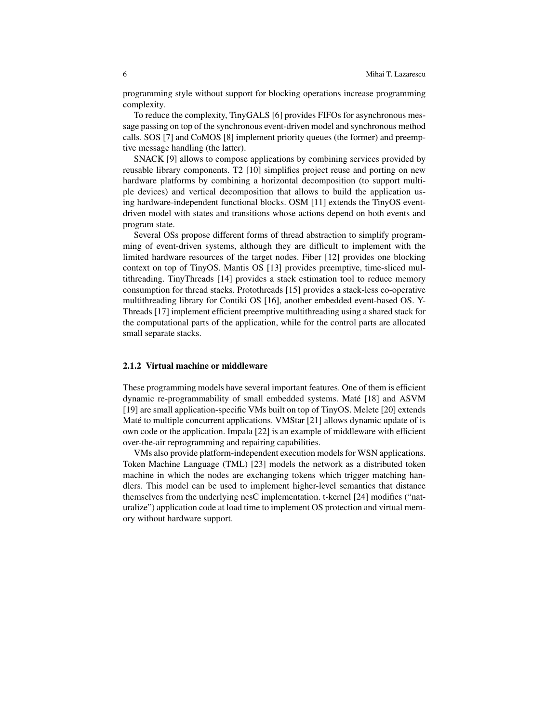programming style without support for blocking operations increase programming complexity.

To reduce the complexity, TinyGALS [6] provides FIFOs for asynchronous message passing on top of the synchronous event-driven model and synchronous method calls. SOS [7] and CoMOS [8] implement priority queues (the former) and preemptive message handling (the latter).

SNACK [9] allows to compose applications by combining services provided by reusable library components. T2 [10] simplifies project reuse and porting on new hardware platforms by combining a horizontal decomposition (to support multiple devices) and vertical decomposition that allows to build the application using hardware-independent functional blocks. OSM [11] extends the TinyOS eventdriven model with states and transitions whose actions depend on both events and program state.

Several OSs propose different forms of thread abstraction to simplify programming of event-driven systems, although they are difficult to implement with the limited hardware resources of the target nodes. Fiber [12] provides one blocking context on top of TinyOS. Mantis OS [13] provides preemptive, time-sliced multithreading. TinyThreads [14] provides a stack estimation tool to reduce memory consumption for thread stacks. Protothreads [15] provides a stack-less co-operative multithreading library for Contiki OS [16], another embedded event-based OS. Y-Threads [17] implement efficient preemptive multithreading using a shared stack for the computational parts of the application, while for the control parts are allocated small separate stacks.

# 2.1.2 Virtual machine or middleware

These programming models have several important features. One of them is efficient dynamic re-programmability of small embedded systems. Mate [18] and ASVM ´ [19] are small application-specific VMs built on top of TinyOS. Melete [20] extends Maté to multiple concurrent applications. VMStar [21] allows dynamic update of is own code or the application. Impala [22] is an example of middleware with efficient over-the-air reprogramming and repairing capabilities.

VMs also provide platform-independent execution models for WSN applications. Token Machine Language (TML) [23] models the network as a distributed token machine in which the nodes are exchanging tokens which trigger matching handlers. This model can be used to implement higher-level semantics that distance themselves from the underlying nesC implementation. t-kernel [24] modifies ("naturalize") application code at load time to implement OS protection and virtual memory without hardware support.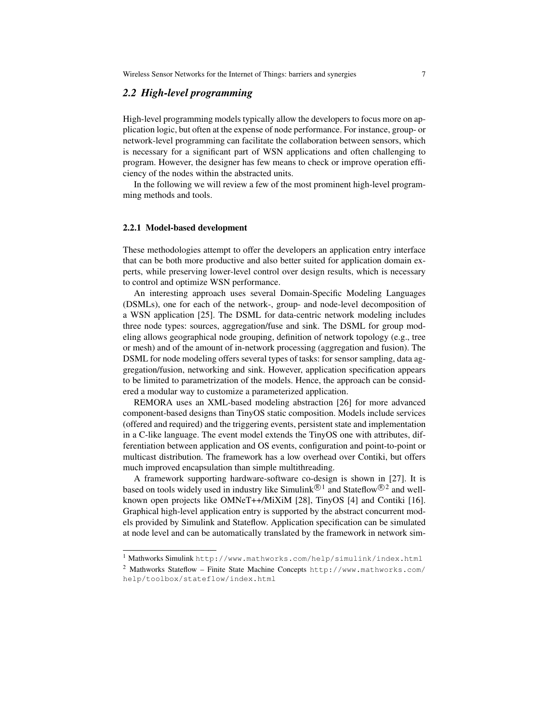## *2.2 High-level programming*

High-level programming models typically allow the developers to focus more on application logic, but often at the expense of node performance. For instance, group- or network-level programming can facilitate the collaboration between sensors, which is necessary for a significant part of WSN applications and often challenging to program. However, the designer has few means to check or improve operation efficiency of the nodes within the abstracted units.

In the following we will review a few of the most prominent high-level programming methods and tools.

#### 2.2.1 Model-based development

These methodologies attempt to offer the developers an application entry interface that can be both more productive and also better suited for application domain experts, while preserving lower-level control over design results, which is necessary to control and optimize WSN performance.

An interesting approach uses several Domain-Specific Modeling Languages (DSMLs), one for each of the network-, group- and node-level decomposition of a WSN application [25]. The DSML for data-centric network modeling includes three node types: sources, aggregation/fuse and sink. The DSML for group modeling allows geographical node grouping, definition of network topology (e.g., tree or mesh) and of the amount of in-network processing (aggregation and fusion). The DSML for node modeling offers several types of tasks: for sensor sampling, data aggregation/fusion, networking and sink. However, application specification appears to be limited to parametrization of the models. Hence, the approach can be considered a modular way to customize a parameterized application.

REMORA uses an XML-based modeling abstraction [26] for more advanced component-based designs than TinyOS static composition. Models include services (offered and required) and the triggering events, persistent state and implementation in a C-like language. The event model extends the TinyOS one with attributes, differentiation between application and OS events, configuration and point-to-point or multicast distribution. The framework has a low overhead over Contiki, but offers much improved encapsulation than simple multithreading.

A framework supporting hardware-software co-design is shown in [27]. It is based on tools widely used in industry like Simulink $\mathbb{R}^1$  and Stateflow $\mathbb{R}^2$  and wellknown open projects like OMNeT++/MiXiM [28], TinyOS [4] and Contiki [16]. Graphical high-level application entry is supported by the abstract concurrent models provided by Simulink and Stateflow. Application specification can be simulated at node level and can be automatically translated by the framework in network sim-

<sup>1</sup> Mathworks Simulink http://www.mathworks.com/help/simulink/index.html

<sup>2</sup> Mathworks Stateflow – Finite State Machine Concepts http://www.mathworks.com/ help/toolbox/stateflow/index.html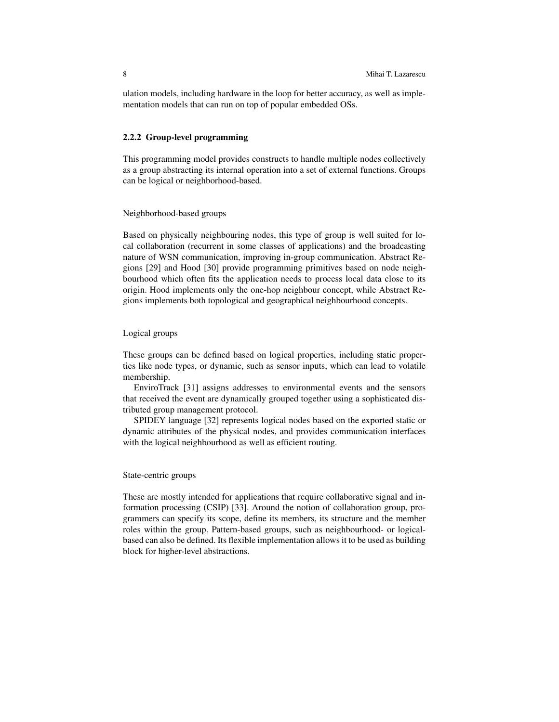ulation models, including hardware in the loop for better accuracy, as well as implementation models that can run on top of popular embedded OSs.

## 2.2.2 Group-level programming

This programming model provides constructs to handle multiple nodes collectively as a group abstracting its internal operation into a set of external functions. Groups can be logical or neighborhood-based.

## Neighborhood-based groups

Based on physically neighbouring nodes, this type of group is well suited for local collaboration (recurrent in some classes of applications) and the broadcasting nature of WSN communication, improving in-group communication. Abstract Regions [29] and Hood [30] provide programming primitives based on node neighbourhood which often fits the application needs to process local data close to its origin. Hood implements only the one-hop neighbour concept, while Abstract Regions implements both topological and geographical neighbourhood concepts.

#### Logical groups

These groups can be defined based on logical properties, including static properties like node types, or dynamic, such as sensor inputs, which can lead to volatile membership.

EnviroTrack [31] assigns addresses to environmental events and the sensors that received the event are dynamically grouped together using a sophisticated distributed group management protocol.

SPIDEY language [32] represents logical nodes based on the exported static or dynamic attributes of the physical nodes, and provides communication interfaces with the logical neighbourhood as well as efficient routing.

## State-centric groups

These are mostly intended for applications that require collaborative signal and information processing (CSIP) [33]. Around the notion of collaboration group, programmers can specify its scope, define its members, its structure and the member roles within the group. Pattern-based groups, such as neighbourhood- or logicalbased can also be defined. Its flexible implementation allows it to be used as building block for higher-level abstractions.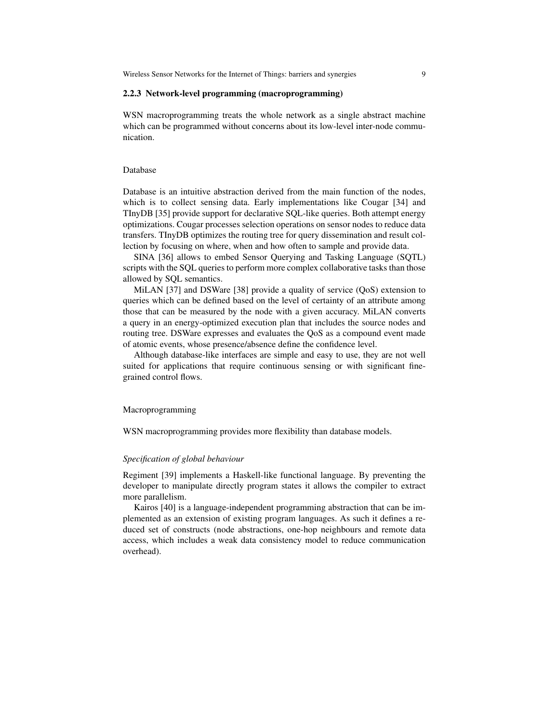Wireless Sensor Networks for the Internet of Things: barriers and synergies 9

## 2.2.3 Network-level programming (macroprogramming)

WSN macroprogramming treats the whole network as a single abstract machine which can be programmed without concerns about its low-level inter-node communication.

#### Database

Database is an intuitive abstraction derived from the main function of the nodes, which is to collect sensing data. Early implementations like Cougar [34] and TInyDB [35] provide support for declarative SQL-like queries. Both attempt energy optimizations. Cougar processes selection operations on sensor nodes to reduce data transfers. TInyDB optimizes the routing tree for query dissemination and result collection by focusing on where, when and how often to sample and provide data.

SINA [36] allows to embed Sensor Querying and Tasking Language (SQTL) scripts with the SQL queries to perform more complex collaborative tasks than those allowed by SQL semantics.

MiLAN [37] and DSWare [38] provide a quality of service (QoS) extension to queries which can be defined based on the level of certainty of an attribute among those that can be measured by the node with a given accuracy. MiLAN converts a query in an energy-optimized execution plan that includes the source nodes and routing tree. DSWare expresses and evaluates the QoS as a compound event made of atomic events, whose presence/absence define the confidence level.

Although database-like interfaces are simple and easy to use, they are not well suited for applications that require continuous sensing or with significant finegrained control flows.

## Macroprogramming

WSN macroprogramming provides more flexibility than database models.

#### *Specification of global behaviour*

Regiment [39] implements a Haskell-like functional language. By preventing the developer to manipulate directly program states it allows the compiler to extract more parallelism.

Kairos [40] is a language-independent programming abstraction that can be implemented as an extension of existing program languages. As such it defines a reduced set of constructs (node abstractions, one-hop neighbours and remote data access, which includes a weak data consistency model to reduce communication overhead).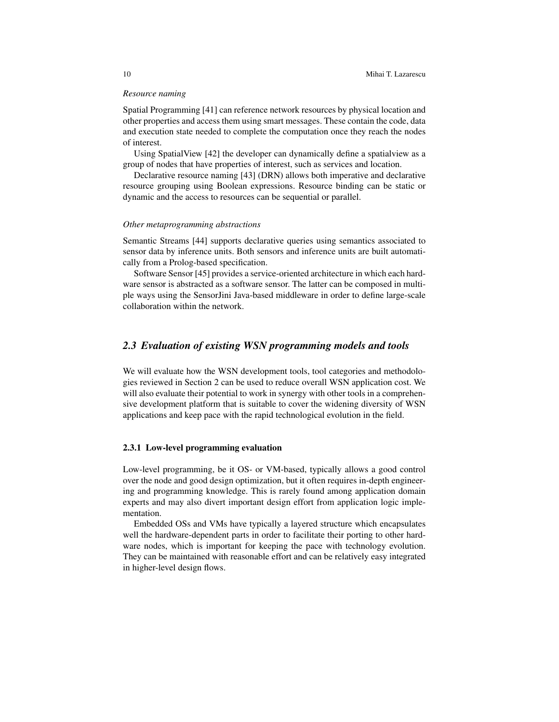## *Resource naming*

Spatial Programming [41] can reference network resources by physical location and other properties and access them using smart messages. These contain the code, data and execution state needed to complete the computation once they reach the nodes of interest.

Using SpatialView [42] the developer can dynamically define a spatialview as a group of nodes that have properties of interest, such as services and location.

Declarative resource naming [43] (DRN) allows both imperative and declarative resource grouping using Boolean expressions. Resource binding can be static or dynamic and the access to resources can be sequential or parallel.

#### *Other metaprogramming abstractions*

Semantic Streams [44] supports declarative queries using semantics associated to sensor data by inference units. Both sensors and inference units are built automatically from a Prolog-based specification.

Software Sensor [45] provides a service-oriented architecture in which each hardware sensor is abstracted as a software sensor. The latter can be composed in multiple ways using the SensorJini Java-based middleware in order to define large-scale collaboration within the network.

# *2.3 Evaluation of existing WSN programming models and tools*

We will evaluate how the WSN development tools, tool categories and methodologies reviewed in Section 2 can be used to reduce overall WSN application cost. We will also evaluate their potential to work in synergy with other tools in a comprehensive development platform that is suitable to cover the widening diversity of WSN applications and keep pace with the rapid technological evolution in the field.

## 2.3.1 Low-level programming evaluation

Low-level programming, be it OS- or VM-based, typically allows a good control over the node and good design optimization, but it often requires in-depth engineering and programming knowledge. This is rarely found among application domain experts and may also divert important design effort from application logic implementation.

Embedded OSs and VMs have typically a layered structure which encapsulates well the hardware-dependent parts in order to facilitate their porting to other hardware nodes, which is important for keeping the pace with technology evolution. They can be maintained with reasonable effort and can be relatively easy integrated in higher-level design flows.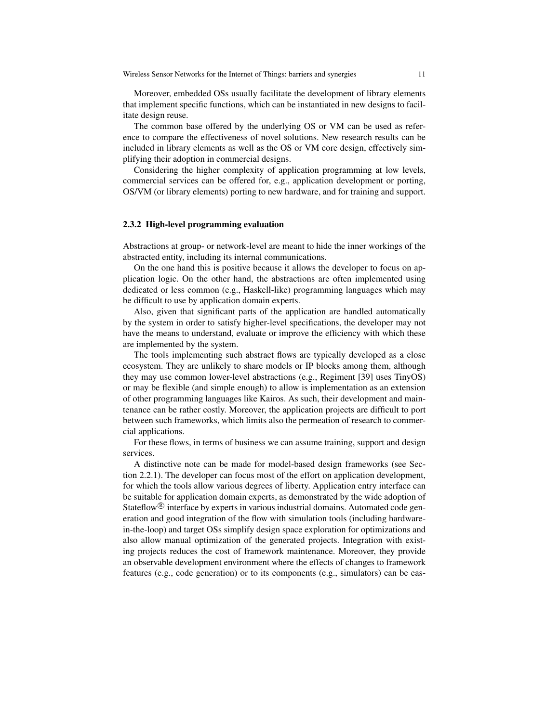Moreover, embedded OSs usually facilitate the development of library elements that implement specific functions, which can be instantiated in new designs to facilitate design reuse.

The common base offered by the underlying OS or VM can be used as reference to compare the effectiveness of novel solutions. New research results can be included in library elements as well as the OS or VM core design, effectively simplifying their adoption in commercial designs.

Considering the higher complexity of application programming at low levels, commercial services can be offered for, e.g., application development or porting, OS/VM (or library elements) porting to new hardware, and for training and support.

## 2.3.2 High-level programming evaluation

Abstractions at group- or network-level are meant to hide the inner workings of the abstracted entity, including its internal communications.

On the one hand this is positive because it allows the developer to focus on application logic. On the other hand, the abstractions are often implemented using dedicated or less common (e.g., Haskell-like) programming languages which may be difficult to use by application domain experts.

Also, given that significant parts of the application are handled automatically by the system in order to satisfy higher-level specifications, the developer may not have the means to understand, evaluate or improve the efficiency with which these are implemented by the system.

The tools implementing such abstract flows are typically developed as a close ecosystem. They are unlikely to share models or IP blocks among them, although they may use common lower-level abstractions (e.g., Regiment [39] uses TinyOS) or may be flexible (and simple enough) to allow is implementation as an extension of other programming languages like Kairos. As such, their development and maintenance can be rather costly. Moreover, the application projects are difficult to port between such frameworks, which limits also the permeation of research to commercial applications.

For these flows, in terms of business we can assume training, support and design services.

A distinctive note can be made for model-based design frameworks (see Section 2.2.1). The developer can focus most of the effort on application development, for which the tools allow various degrees of liberty. Application entry interface can be suitable for application domain experts, as demonstrated by the wide adoption of Stateflow $^{\circledR}$  interface by experts in various industrial domains. Automated code generation and good integration of the flow with simulation tools (including hardwarein-the-loop) and target OSs simplify design space exploration for optimizations and also allow manual optimization of the generated projects. Integration with existing projects reduces the cost of framework maintenance. Moreover, they provide an observable development environment where the effects of changes to framework features (e.g., code generation) or to its components (e.g., simulators) can be eas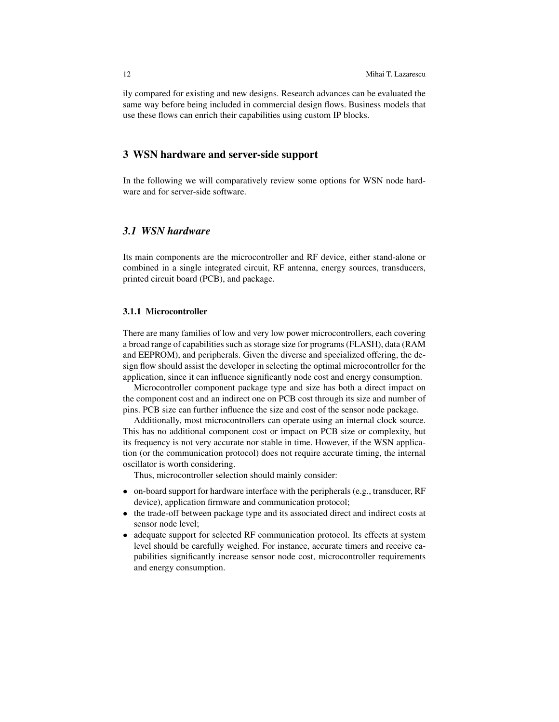ily compared for existing and new designs. Research advances can be evaluated the same way before being included in commercial design flows. Business models that use these flows can enrich their capabilities using custom IP blocks.

# 3 WSN hardware and server-side support

In the following we will comparatively review some options for WSN node hardware and for server-side software.

# *3.1 WSN hardware*

Its main components are the microcontroller and RF device, either stand-alone or combined in a single integrated circuit, RF antenna, energy sources, transducers, printed circuit board (PCB), and package.

## 3.1.1 Microcontroller

There are many families of low and very low power microcontrollers, each covering a broad range of capabilities such as storage size for programs (FLASH), data (RAM and EEPROM), and peripherals. Given the diverse and specialized offering, the design flow should assist the developer in selecting the optimal microcontroller for the application, since it can influence significantly node cost and energy consumption.

Microcontroller component package type and size has both a direct impact on the component cost and an indirect one on PCB cost through its size and number of pins. PCB size can further influence the size and cost of the sensor node package.

Additionally, most microcontrollers can operate using an internal clock source. This has no additional component cost or impact on PCB size or complexity, but its frequency is not very accurate nor stable in time. However, if the WSN application (or the communication protocol) does not require accurate timing, the internal oscillator is worth considering.

Thus, microcontroller selection should mainly consider:

- on-board support for hardware interface with the peripherals (e.g., transducer, RF device), application firmware and communication protocol;
- the trade-off between package type and its associated direct and indirect costs at sensor node level;
- adequate support for selected RF communication protocol. Its effects at system level should be carefully weighed. For instance, accurate timers and receive capabilities significantly increase sensor node cost, microcontroller requirements and energy consumption.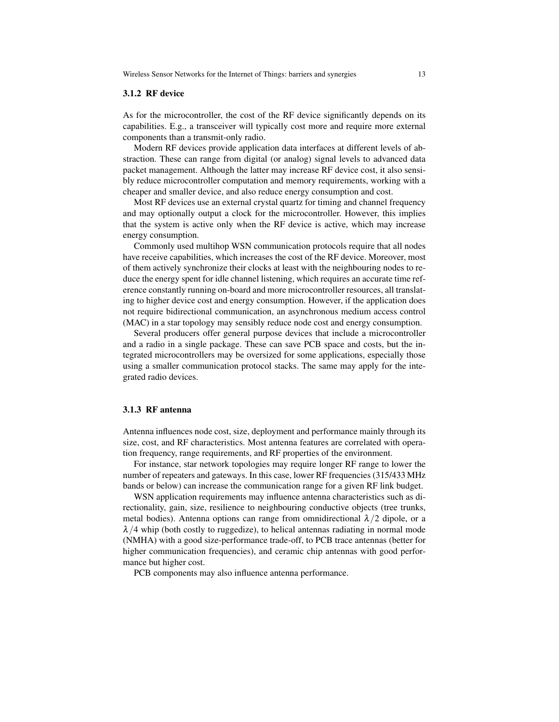## 3.1.2 RF device

As for the microcontroller, the cost of the RF device significantly depends on its capabilities. E.g., a transceiver will typically cost more and require more external components than a transmit-only radio.

Modern RF devices provide application data interfaces at different levels of abstraction. These can range from digital (or analog) signal levels to advanced data packet management. Although the latter may increase RF device cost, it also sensibly reduce microcontroller computation and memory requirements, working with a cheaper and smaller device, and also reduce energy consumption and cost.

Most RF devices use an external crystal quartz for timing and channel frequency and may optionally output a clock for the microcontroller. However, this implies that the system is active only when the RF device is active, which may increase energy consumption.

Commonly used multihop WSN communication protocols require that all nodes have receive capabilities, which increases the cost of the RF device. Moreover, most of them actively synchronize their clocks at least with the neighbouring nodes to reduce the energy spent for idle channel listening, which requires an accurate time reference constantly running on-board and more microcontroller resources, all translating to higher device cost and energy consumption. However, if the application does not require bidirectional communication, an asynchronous medium access control (MAC) in a star topology may sensibly reduce node cost and energy consumption.

Several producers offer general purpose devices that include a microcontroller and a radio in a single package. These can save PCB space and costs, but the integrated microcontrollers may be oversized for some applications, especially those using a smaller communication protocol stacks. The same may apply for the integrated radio devices.

## 3.1.3 RF antenna

Antenna influences node cost, size, deployment and performance mainly through its size, cost, and RF characteristics. Most antenna features are correlated with operation frequency, range requirements, and RF properties of the environment.

For instance, star network topologies may require longer RF range to lower the number of repeaters and gateways. In this case, lower RF frequencies (315/433 MHz bands or below) can increase the communication range for a given RF link budget.

WSN application requirements may influence antenna characteristics such as directionality, gain, size, resilience to neighbouring conductive objects (tree trunks, metal bodies). Antenna options can range from omnidirectional  $\lambda/2$  dipole, or a  $\lambda$ /4 whip (both costly to ruggedize), to helical antennas radiating in normal mode (NMHA) with a good size-performance trade-off, to PCB trace antennas (better for higher communication frequencies), and ceramic chip antennas with good performance but higher cost.

PCB components may also influence antenna performance.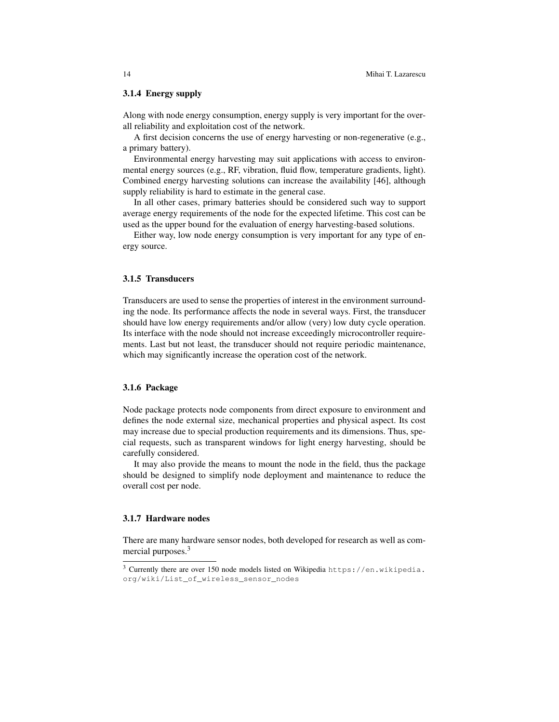#### 3.1.4 Energy supply

Along with node energy consumption, energy supply is very important for the overall reliability and exploitation cost of the network.

A first decision concerns the use of energy harvesting or non-regenerative (e.g., a primary battery).

Environmental energy harvesting may suit applications with access to environmental energy sources (e.g., RF, vibration, fluid flow, temperature gradients, light). Combined energy harvesting solutions can increase the availability [46], although supply reliability is hard to estimate in the general case.

In all other cases, primary batteries should be considered such way to support average energy requirements of the node for the expected lifetime. This cost can be used as the upper bound for the evaluation of energy harvesting-based solutions.

Either way, low node energy consumption is very important for any type of energy source.

#### 3.1.5 Transducers

Transducers are used to sense the properties of interest in the environment surrounding the node. Its performance affects the node in several ways. First, the transducer should have low energy requirements and/or allow (very) low duty cycle operation. Its interface with the node should not increase exceedingly microcontroller requirements. Last but not least, the transducer should not require periodic maintenance, which may significantly increase the operation cost of the network.

## 3.1.6 Package

Node package protects node components from direct exposure to environment and defines the node external size, mechanical properties and physical aspect. Its cost may increase due to special production requirements and its dimensions. Thus, special requests, such as transparent windows for light energy harvesting, should be carefully considered.

It may also provide the means to mount the node in the field, thus the package should be designed to simplify node deployment and maintenance to reduce the overall cost per node.

#### 3.1.7 Hardware nodes

There are many hardware sensor nodes, both developed for research as well as commercial purposes.<sup>3</sup>

<sup>3</sup> Currently there are over 150 node models listed on Wikipedia https://en.wikipedia. org/wiki/List\_of\_wireless\_sensor\_nodes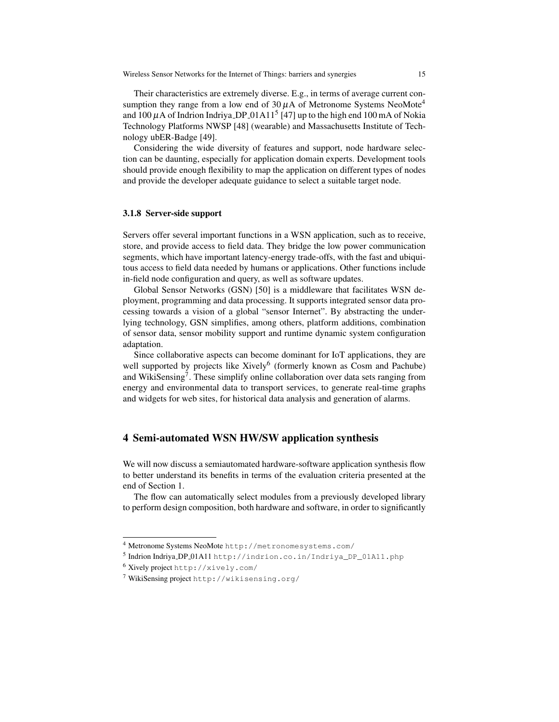Their characteristics are extremely diverse. E.g., in terms of average current consumption they range from a low end of  $30 \mu A$  of Metronome Systems NeoMote<sup>4</sup> and 100  $\mu$ A of Indrion Indriya<sub>-</sub>DP<sub>-</sub>01A11<sup>5</sup> [47] up to the high end 100 mA of Nokia Technology Platforms NWSP [48] (wearable) and Massachusetts Institute of Technology ubER-Badge [49].

Considering the wide diversity of features and support, node hardware selection can be daunting, especially for application domain experts. Development tools should provide enough flexibility to map the application on different types of nodes and provide the developer adequate guidance to select a suitable target node.

#### 3.1.8 Server-side support

Servers offer several important functions in a WSN application, such as to receive, store, and provide access to field data. They bridge the low power communication segments, which have important latency-energy trade-offs, with the fast and ubiquitous access to field data needed by humans or applications. Other functions include in-field node configuration and query, as well as software updates.

Global Sensor Networks (GSN) [50] is a middleware that facilitates WSN deployment, programming and data processing. It supports integrated sensor data processing towards a vision of a global "sensor Internet". By abstracting the underlying technology, GSN simplifies, among others, platform additions, combination of sensor data, sensor mobility support and runtime dynamic system configuration adaptation.

Since collaborative aspects can become dominant for IoT applications, they are well supported by projects like Xively<sup>6</sup> (formerly known as Cosm and Pachube) and WikiSensing<sup>7</sup>. These simplify online collaboration over data sets ranging from energy and environmental data to transport services, to generate real-time graphs and widgets for web sites, for historical data analysis and generation of alarms.

## 4 Semi-automated WSN HW/SW application synthesis

We will now discuss a semiautomated hardware-software application synthesis flow to better understand its benefits in terms of the evaluation criteria presented at the end of Section 1.

The flow can automatically select modules from a previously developed library to perform design composition, both hardware and software, in order to significantly

<sup>4</sup> Metronome Systems NeoMote http://metronomesystems.com/

<sup>5</sup> Indrion Indriya DP 01A11 http://indrion.co.in/Indriya\_DP\_01A11.php

<sup>6</sup> Xively project http://xively.com/

<sup>7</sup> WikiSensing project http://wikisensing.org/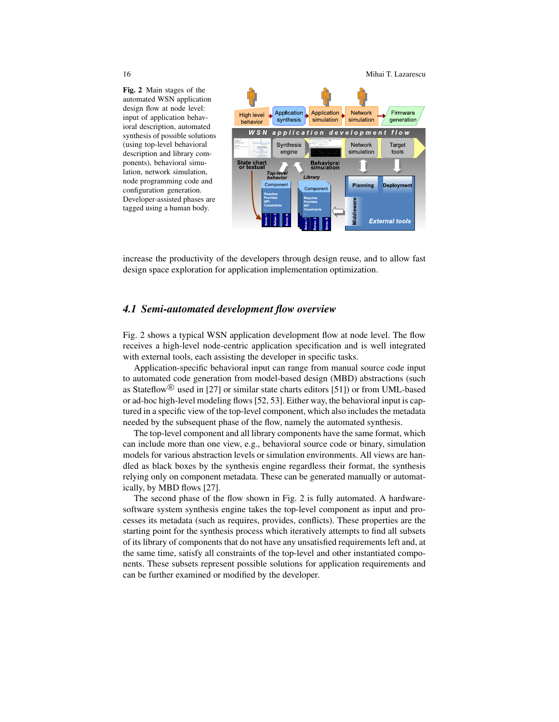16 Mihai T. Lazarescu

Fig. 2 Main stages of the automated WSN application design flow at node level: input of application behavioral description, automated synthesis of possible solutions (using top-level behavioral description and library components), behavioral simulation, network simulation, node programming code and configuration generation. Developer-assisted phases are tagged using a human body.



increase the productivity of the developers through design reuse, and to allow fast design space exploration for application implementation optimization.

# *4.1 Semi-automated development flow overview*

Fig. 2 shows a typical WSN application development flow at node level. The flow receives a high-level node-centric application specification and is well integrated with external tools, each assisting the developer in specific tasks.

Application-specific behavioral input can range from manual source code input to automated code generation from model-based design (MBD) abstractions (such as Stateflow<sup>®</sup> used in [27] or similar state charts editors [51]) or from UML-based or ad-hoc high-level modeling flows [52, 53]. Either way, the behavioral input is captured in a specific view of the top-level component, which also includes the metadata needed by the subsequent phase of the flow, namely the automated synthesis.

The top-level component and all library components have the same format, which can include more than one view, e.g., behavioral source code or binary, simulation models for various abstraction levels or simulation environments. All views are handled as black boxes by the synthesis engine regardless their format, the synthesis relying only on component metadata. These can be generated manually or automatically, by MBD flows [27].

The second phase of the flow shown in Fig. 2 is fully automated. A hardwaresoftware system synthesis engine takes the top-level component as input and processes its metadata (such as requires, provides, conflicts). These properties are the starting point for the synthesis process which iteratively attempts to find all subsets of its library of components that do not have any unsatisfied requirements left and, at the same time, satisfy all constraints of the top-level and other instantiated components. These subsets represent possible solutions for application requirements and can be further examined or modified by the developer.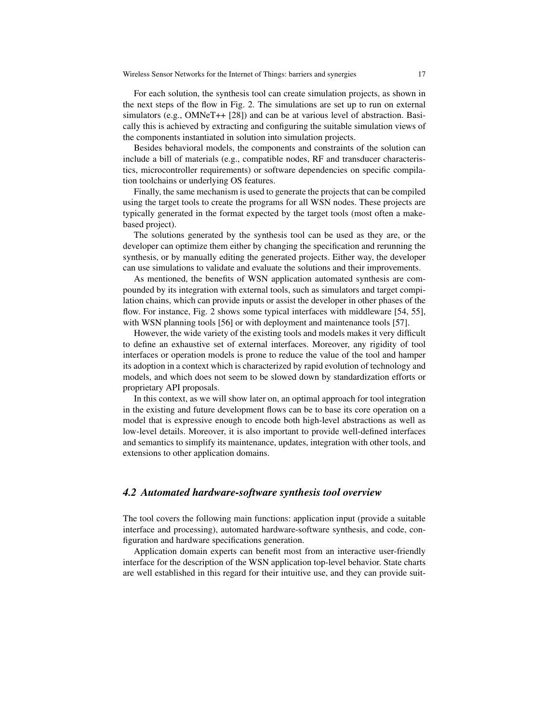For each solution, the synthesis tool can create simulation projects, as shown in the next steps of the flow in Fig. 2. The simulations are set up to run on external simulators (e.g., OMNeT++ [28]) and can be at various level of abstraction. Basically this is achieved by extracting and configuring the suitable simulation views of the components instantiated in solution into simulation projects.

Besides behavioral models, the components and constraints of the solution can include a bill of materials (e.g., compatible nodes, RF and transducer characteristics, microcontroller requirements) or software dependencies on specific compilation toolchains or underlying OS features.

Finally, the same mechanism is used to generate the projects that can be compiled using the target tools to create the programs for all WSN nodes. These projects are typically generated in the format expected by the target tools (most often a makebased project).

The solutions generated by the synthesis tool can be used as they are, or the developer can optimize them either by changing the specification and rerunning the synthesis, or by manually editing the generated projects. Either way, the developer can use simulations to validate and evaluate the solutions and their improvements.

As mentioned, the benefits of WSN application automated synthesis are compounded by its integration with external tools, such as simulators and target compilation chains, which can provide inputs or assist the developer in other phases of the flow. For instance, Fig. 2 shows some typical interfaces with middleware [54, 55], with WSN planning tools [56] or with deployment and maintenance tools [57].

However, the wide variety of the existing tools and models makes it very difficult to define an exhaustive set of external interfaces. Moreover, any rigidity of tool interfaces or operation models is prone to reduce the value of the tool and hamper its adoption in a context which is characterized by rapid evolution of technology and models, and which does not seem to be slowed down by standardization efforts or proprietary API proposals.

In this context, as we will show later on, an optimal approach for tool integration in the existing and future development flows can be to base its core operation on a model that is expressive enough to encode both high-level abstractions as well as low-level details. Moreover, it is also important to provide well-defined interfaces and semantics to simplify its maintenance, updates, integration with other tools, and extensions to other application domains.

# *4.2 Automated hardware-software synthesis tool overview*

The tool covers the following main functions: application input (provide a suitable interface and processing), automated hardware-software synthesis, and code, configuration and hardware specifications generation.

Application domain experts can benefit most from an interactive user-friendly interface for the description of the WSN application top-level behavior. State charts are well established in this regard for their intuitive use, and they can provide suit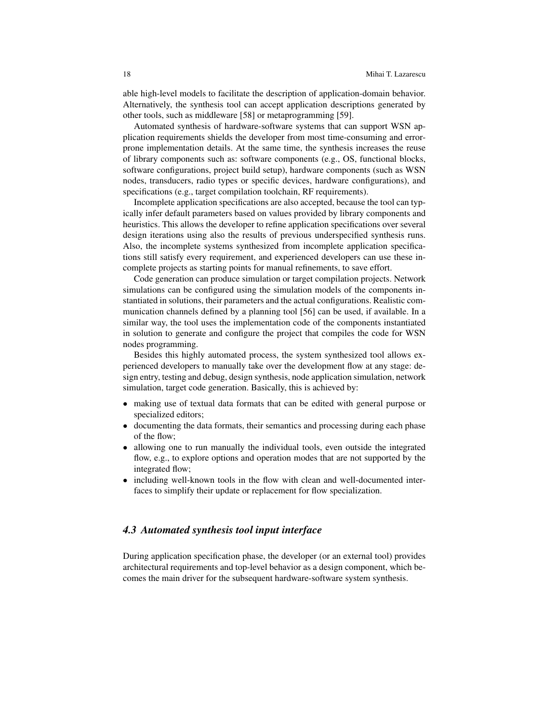able high-level models to facilitate the description of application-domain behavior. Alternatively, the synthesis tool can accept application descriptions generated by other tools, such as middleware [58] or metaprogramming [59].

Automated synthesis of hardware-software systems that can support WSN application requirements shields the developer from most time-consuming and errorprone implementation details. At the same time, the synthesis increases the reuse of library components such as: software components (e.g., OS, functional blocks, software configurations, project build setup), hardware components (such as WSN nodes, transducers, radio types or specific devices, hardware configurations), and specifications (e.g., target compilation toolchain, RF requirements).

Incomplete application specifications are also accepted, because the tool can typically infer default parameters based on values provided by library components and heuristics. This allows the developer to refine application specifications over several design iterations using also the results of previous underspecified synthesis runs. Also, the incomplete systems synthesized from incomplete application specifications still satisfy every requirement, and experienced developers can use these incomplete projects as starting points for manual refinements, to save effort.

Code generation can produce simulation or target compilation projects. Network simulations can be configured using the simulation models of the components instantiated in solutions, their parameters and the actual configurations. Realistic communication channels defined by a planning tool [56] can be used, if available. In a similar way, the tool uses the implementation code of the components instantiated in solution to generate and configure the project that compiles the code for WSN nodes programming.

Besides this highly automated process, the system synthesized tool allows experienced developers to manually take over the development flow at any stage: design entry, testing and debug, design synthesis, node application simulation, network simulation, target code generation. Basically, this is achieved by:

- making use of textual data formats that can be edited with general purpose or specialized editors;
- documenting the data formats, their semantics and processing during each phase of the flow;
- allowing one to run manually the individual tools, even outside the integrated flow, e.g., to explore options and operation modes that are not supported by the integrated flow;
- including well-known tools in the flow with clean and well-documented interfaces to simplify their update or replacement for flow specialization.

## *4.3 Automated synthesis tool input interface*

During application specification phase, the developer (or an external tool) provides architectural requirements and top-level behavior as a design component, which becomes the main driver for the subsequent hardware-software system synthesis.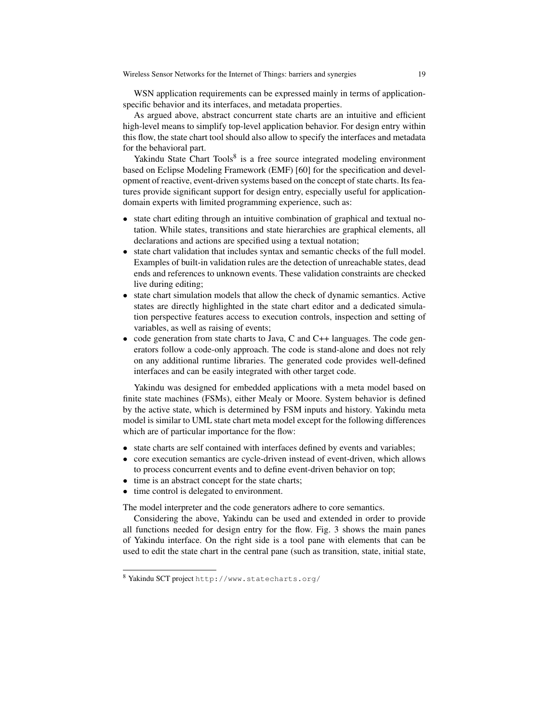WSN application requirements can be expressed mainly in terms of applicationspecific behavior and its interfaces, and metadata properties.

As argued above, abstract concurrent state charts are an intuitive and efficient high-level means to simplify top-level application behavior. For design entry within this flow, the state chart tool should also allow to specify the interfaces and metadata for the behavioral part.

Yakindu State Chart Tools<sup>8</sup> is a free source integrated modeling environment based on Eclipse Modeling Framework (EMF) [60] for the specification and development of reactive, event-driven systems based on the concept of state charts. Its features provide significant support for design entry, especially useful for applicationdomain experts with limited programming experience, such as:

- state chart editing through an intuitive combination of graphical and textual notation. While states, transitions and state hierarchies are graphical elements, all declarations and actions are specified using a textual notation;
- state chart validation that includes syntax and semantic checks of the full model. Examples of built-in validation rules are the detection of unreachable states, dead ends and references to unknown events. These validation constraints are checked live during editing;
- state chart simulation models that allow the check of dynamic semantics. Active states are directly highlighted in the state chart editor and a dedicated simulation perspective features access to execution controls, inspection and setting of variables, as well as raising of events;
- code generation from state charts to Java, C and C++ languages. The code generators follow a code-only approach. The code is stand-alone and does not rely on any additional runtime libraries. The generated code provides well-defined interfaces and can be easily integrated with other target code.

Yakindu was designed for embedded applications with a meta model based on finite state machines (FSMs), either Mealy or Moore. System behavior is defined by the active state, which is determined by FSM inputs and history. Yakindu meta model is similar to UML state chart meta model except for the following differences which are of particular importance for the flow:

- state charts are self contained with interfaces defined by events and variables;
- core execution semantics are cycle-driven instead of event-driven, which allows to process concurrent events and to define event-driven behavior on top;
- time is an abstract concept for the state charts;
- time control is delegated to environment.

The model interpreter and the code generators adhere to core semantics.

Considering the above, Yakindu can be used and extended in order to provide all functions needed for design entry for the flow. Fig. 3 shows the main panes of Yakindu interface. On the right side is a tool pane with elements that can be used to edit the state chart in the central pane (such as transition, state, initial state,

<sup>8</sup> Yakindu SCT project http://www.statecharts.org/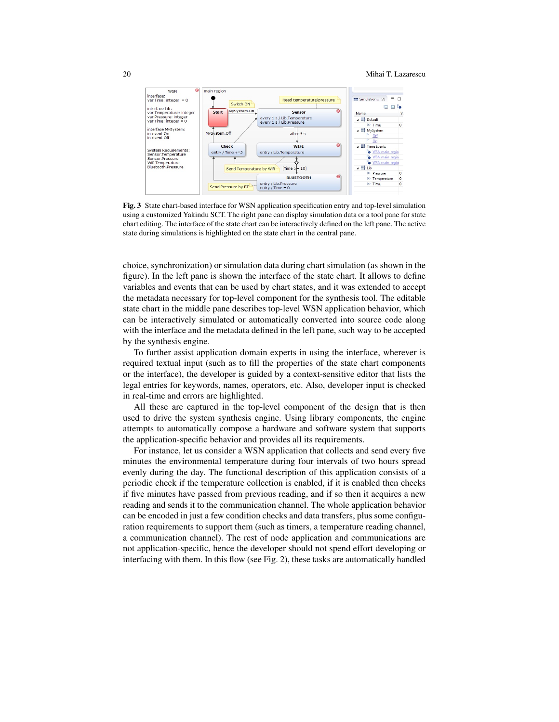

Fig. 3 State chart-based interface for WSN application specification entry and top-level simulation using a customized Yakindu SCT. The right pane can display simulation data or a tool pane for state chart editing. The interface of the state chart can be interactively defined on the left pane. The active state during simulations is highlighted on the state chart in the central pane.

choice, synchronization) or simulation data during chart simulation (as shown in the figure). In the left pane is shown the interface of the state chart. It allows to define variables and events that can be used by chart states, and it was extended to accept the metadata necessary for top-level component for the synthesis tool. The editable state chart in the middle pane describes top-level WSN application behavior, which can be interactively simulated or automatically converted into source code along with the interface and the metadata defined in the left pane, such way to be accepted by the synthesis engine.

To further assist application domain experts in using the interface, wherever is required textual input (such as to fill the properties of the state chart components or the interface), the developer is guided by a context-sensitive editor that lists the legal entries for keywords, names, operators, etc. Also, developer input is checked in real-time and errors are highlighted.

All these are captured in the top-level component of the design that is then used to drive the system synthesis engine. Using library components, the engine attempts to automatically compose a hardware and software system that supports the application-specific behavior and provides all its requirements.

For instance, let us consider a WSN application that collects and send every five minutes the environmental temperature during four intervals of two hours spread evenly during the day. The functional description of this application consists of a periodic check if the temperature collection is enabled, if it is enabled then checks if five minutes have passed from previous reading, and if so then it acquires a new reading and sends it to the communication channel. The whole application behavior can be encoded in just a few condition checks and data transfers, plus some configuration requirements to support them (such as timers, a temperature reading channel, a communication channel). The rest of node application and communications are not application-specific, hence the developer should not spend effort developing or interfacing with them. In this flow (see Fig. 2), these tasks are automatically handled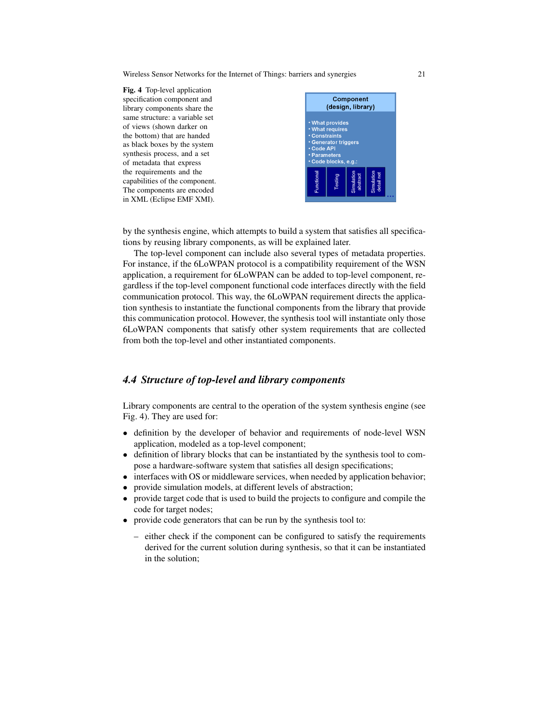Wireless Sensor Networks for the Internet of Things: barriers and synergies 21

Fig. 4 Top-level application specification component and library components share the same structure: a variable set of views (shown darker on the bottom) that are handed as black boxes by the system synthesis process, and a set of metadata that express the requirements and the capabilities of the component. The components are encoded in XML (Eclipse EMF XMI).



by the synthesis engine, which attempts to build a system that satisfies all specifications by reusing library components, as will be explained later.

The top-level component can include also several types of metadata properties. For instance, if the 6LoWPAN protocol is a compatibility requirement of the WSN application, a requirement for 6LoWPAN can be added to top-level component, regardless if the top-level component functional code interfaces directly with the field communication protocol. This way, the 6LoWPAN requirement directs the application synthesis to instantiate the functional components from the library that provide this communication protocol. However, the synthesis tool will instantiate only those 6LoWPAN components that satisfy other system requirements that are collected from both the top-level and other instantiated components.

# *4.4 Structure of top-level and library components*

Library components are central to the operation of the system synthesis engine (see Fig. 4). They are used for:

- definition by the developer of behavior and requirements of node-level WSN application, modeled as a top-level component;
- definition of library blocks that can be instantiated by the synthesis tool to compose a hardware-software system that satisfies all design specifications;
- interfaces with OS or middleware services, when needed by application behavior;
- provide simulation models, at different levels of abstraction;
- provide target code that is used to build the projects to configure and compile the code for target nodes;
- provide code generators that can be run by the synthesis tool to:
	- either check if the component can be configured to satisfy the requirements derived for the current solution during synthesis, so that it can be instantiated in the solution;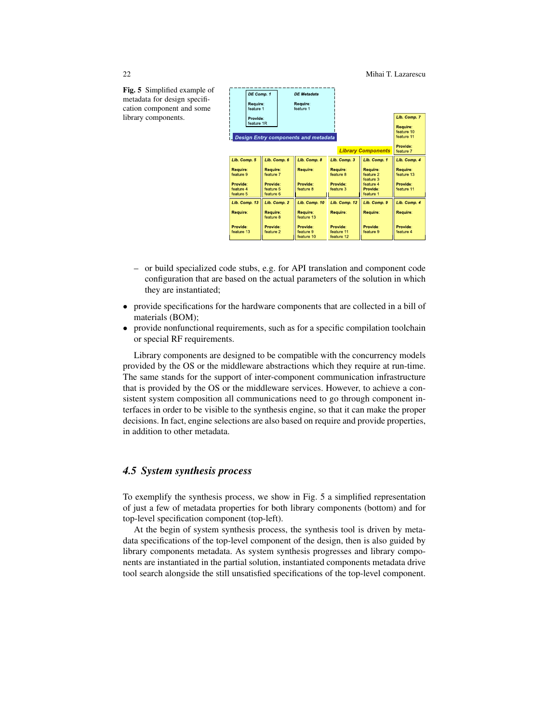Fig. 5 Simplified example of metadata for design specification component and some library components.



- or build specialized code stubs, e.g. for API translation and component code configuration that are based on the actual parameters of the solution in which they are instantiated;
- provide specifications for the hardware components that are collected in a bill of materials (BOM);
- provide nonfunctional requirements, such as for a specific compilation toolchain or special RF requirements.

Library components are designed to be compatible with the concurrency models provided by the OS or the middleware abstractions which they require at run-time. The same stands for the support of inter-component communication infrastructure that is provided by the OS or the middleware services. However, to achieve a consistent system composition all communications need to go through component interfaces in order to be visible to the synthesis engine, so that it can make the proper decisions. In fact, engine selections are also based on require and provide properties, in addition to other metadata.

# *4.5 System synthesis process*

To exemplify the synthesis process, we show in Fig. 5 a simplified representation of just a few of metadata properties for both library components (bottom) and for top-level specification component (top-left).

At the begin of system synthesis process, the synthesis tool is driven by metadata specifications of the top-level component of the design, then is also guided by library components metadata. As system synthesis progresses and library components are instantiated in the partial solution, instantiated components metadata drive tool search alongside the still unsatisfied specifications of the top-level component.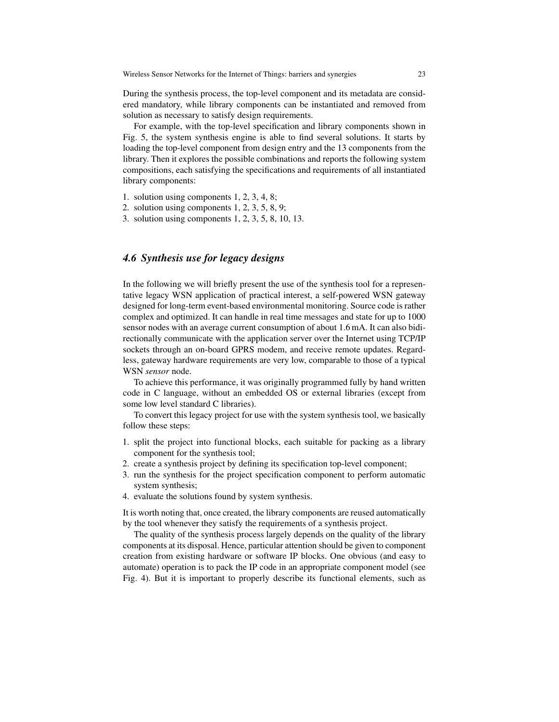During the synthesis process, the top-level component and its metadata are considered mandatory, while library components can be instantiated and removed from solution as necessary to satisfy design requirements.

For example, with the top-level specification and library components shown in Fig. 5, the system synthesis engine is able to find several solutions. It starts by loading the top-level component from design entry and the 13 components from the library. Then it explores the possible combinations and reports the following system compositions, each satisfying the specifications and requirements of all instantiated library components:

- 1. solution using components 1, 2, 3, 4, 8;
- 2. solution using components 1, 2, 3, 5, 8, 9;
- 3. solution using components 1, 2, 3, 5, 8, 10, 13.

# *4.6 Synthesis use for legacy designs*

In the following we will briefly present the use of the synthesis tool for a representative legacy WSN application of practical interest, a self-powered WSN gateway designed for long-term event-based environmental monitoring. Source code is rather complex and optimized. It can handle in real time messages and state for up to 1000 sensor nodes with an average current consumption of about 1.6 mA. It can also bidirectionally communicate with the application server over the Internet using TCP/IP sockets through an on-board GPRS modem, and receive remote updates. Regardless, gateway hardware requirements are very low, comparable to those of a typical WSN *sensor* node.

To achieve this performance, it was originally programmed fully by hand written code in C language, without an embedded OS or external libraries (except from some low level standard C libraries).

To convert this legacy project for use with the system synthesis tool, we basically follow these steps:

- 1. split the project into functional blocks, each suitable for packing as a library component for the synthesis tool;
- 2. create a synthesis project by defining its specification top-level component;
- 3. run the synthesis for the project specification component to perform automatic system synthesis;
- 4. evaluate the solutions found by system synthesis.

It is worth noting that, once created, the library components are reused automatically by the tool whenever they satisfy the requirements of a synthesis project.

The quality of the synthesis process largely depends on the quality of the library components at its disposal. Hence, particular attention should be given to component creation from existing hardware or software IP blocks. One obvious (and easy to automate) operation is to pack the IP code in an appropriate component model (see Fig. 4). But it is important to properly describe its functional elements, such as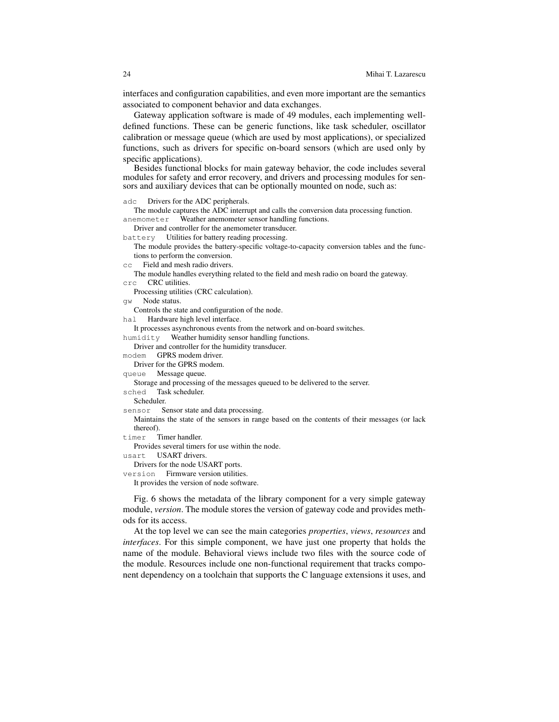interfaces and configuration capabilities, and even more important are the semantics associated to component behavior and data exchanges.

Gateway application software is made of 49 modules, each implementing welldefined functions. These can be generic functions, like task scheduler, oscillator calibration or message queue (which are used by most applications), or specialized functions, such as drivers for specific on-board sensors (which are used only by specific applications).

Besides functional blocks for main gateway behavior, the code includes several modules for safety and error recovery, and drivers and processing modules for sensors and auxiliary devices that can be optionally mounted on node, such as:

adc Drivers for the ADC peripherals.

The module captures the ADC interrupt and calls the conversion data processing function. anemometer Weather anemometer sensor handling functions.

Driver and controller for the anemometer transducer.

battery Utilities for battery reading processing.

The module provides the battery-specific voltage-to-capacity conversion tables and the functions to perform the conversion.

cc Field and mesh radio drivers.

The module handles everything related to the field and mesh radio on board the gateway.

crc CRC utilities.

Processing utilities (CRC calculation).

gw Node status.

Controls the state and configuration of the node.

hal Hardware high level interface.

It processes asynchronous events from the network and on-board switches.

humidity Weather humidity sensor handling functions.

Driver and controller for the humidity transducer.

modem GPRS modem driver.

Driver for the GPRS modem.

queue Message queue.

Storage and processing of the messages queued to be delivered to the server.

sched Task scheduler.

#### Scheduler.

sensor Sensor state and data processing.

Maintains the state of the sensors in range based on the contents of their messages (or lack thereof).

timer Timer handler.

Provides several timers for use within the node.

usart USART drivers.

Drivers for the node USART ports.

version Firmware version utilities.

It provides the version of node software.

Fig. 6 shows the metadata of the library component for a very simple gateway module, *version*. The module stores the version of gateway code and provides methods for its access.

At the top level we can see the main categories *properties*, *views*, *resources* and *interfaces*. For this simple component, we have just one property that holds the name of the module. Behavioral views include two files with the source code of the module. Resources include one non-functional requirement that tracks component dependency on a toolchain that supports the C language extensions it uses, and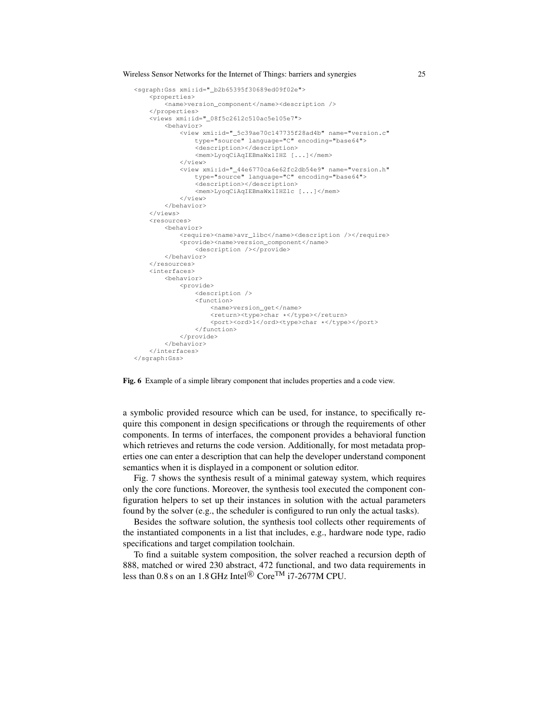#### Wireless Sensor Networks for the Internet of Things: barriers and synergies 25

```
<sgraph:Gss xmi:id="_b2b65395f30689ed09f02e">
   <properties>
       <name>version_component</name><description />
   </properties>
   <views xmi:id="_08f5c2612c510ac5e105e7">
       <behavior>
           <view xmi:id="_5c39ae70c147735f28ad4b" name="version.c"
               type="source" language="C" encoding="base64">
                <description></description>
                <mem>LyoqCiAqIEBmaWxlIHZ [...]</mem>
            </view>
            <view xmi:id="_44e6770ca6e62fc2db54e9" name="version.h"
               type="source" language="C" encoding="base64">
                <description></description>
                <mem>LyoqCiAqIEBmaWxlIHZlc [...]</mem>
            \langle/view\rangle</behavior>
   </views>
   <resources>
       <behavior>
            <require><name>avr_libc</name><description /></require>
            <provide><name>version_component</name>
               <description /></provide>
       </behavior>
   </resources>
   <interfaces>
       <behavior>
            <provide>
                <description />
                <function>
                    <name>version_get</name>
                    <return><type>char *</type></return>
                    <port><ord>1</ord><type>char *</type></port>
               </function>
            </provide>
       </behavior>
    </interfaces>
</sgraph:Gss>
```
Fig. 6 Example of a simple library component that includes properties and a code view.

a symbolic provided resource which can be used, for instance, to specifically require this component in design specifications or through the requirements of other components. In terms of interfaces, the component provides a behavioral function which retrieves and returns the code version. Additionally, for most metadata properties one can enter a description that can help the developer understand component semantics when it is displayed in a component or solution editor.

Fig. 7 shows the synthesis result of a minimal gateway system, which requires only the core functions. Moreover, the synthesis tool executed the component configuration helpers to set up their instances in solution with the actual parameters found by the solver (e.g., the scheduler is configured to run only the actual tasks).

Besides the software solution, the synthesis tool collects other requirements of the instantiated components in a list that includes, e.g., hardware node type, radio specifications and target compilation toolchain.

To find a suitable system composition, the solver reached a recursion depth of 888, matched or wired 230 abstract, 472 functional, and two data requirements in less than 0.8 s on an 1.8 GHz Intel® Core<sup>TM</sup> i7-2677M CPU.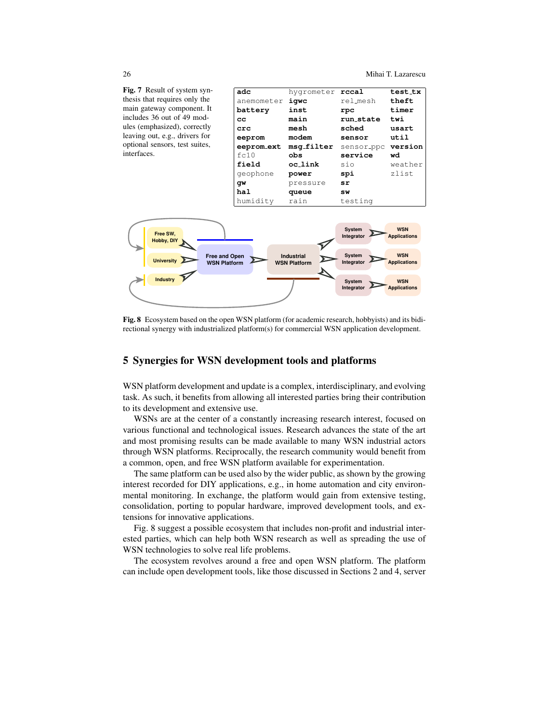Fig. 7 Result of system synthesis that requires only the main gateway component. It includes 36 out of 49 modules (emphasized), correctly leaving out, e.g., drivers for optional sensors, test suites, interfaces.

| adc        | hygrometer rccal |                    | test_tx |
|------------|------------------|--------------------|---------|
| anemometer | iqwc             | rel_mesh           | theft   |
| battery    | inst             | rpc                | timer   |
| cc         | main             | run state          | twi     |
| crc        | mesh             | sched              | usart   |
| eeprom     | modem            | sensor             | util    |
| eeprom_ext | msq_filter       | sensor_ppc version |         |
| fc10       | obs              | service            | wd      |
| field      | oc link          | sio                | weather |
| geophone   | power            | spi                | zlist   |
| qw         | pressure         | sr                 |         |
| hal        | queue            | SW                 |         |
| humidity   | rain             | testing            |         |



Fig. 8 Ecosystem based on the open WSN platform (for academic research, hobbyists) and its bidirectional synergy with industrialized platform(s) for commercial WSN application development.

# 5 Synergies for WSN development tools and platforms

WSN platform development and update is a complex, interdisciplinary, and evolving task. As such, it benefits from allowing all interested parties bring their contribution to its development and extensive use.

WSNs are at the center of a constantly increasing research interest, focused on various functional and technological issues. Research advances the state of the art and most promising results can be made available to many WSN industrial actors through WSN platforms. Reciprocally, the research community would benefit from a common, open, and free WSN platform available for experimentation.

The same platform can be used also by the wider public, as shown by the growing interest recorded for DIY applications, e.g., in home automation and city environmental monitoring. In exchange, the platform would gain from extensive testing, consolidation, porting to popular hardware, improved development tools, and extensions for innovative applications.

Fig. 8 suggest a possible ecosystem that includes non-profit and industrial interested parties, which can help both WSN research as well as spreading the use of WSN technologies to solve real life problems.

The ecosystem revolves around a free and open WSN platform. The platform can include open development tools, like those discussed in Sections 2 and 4, server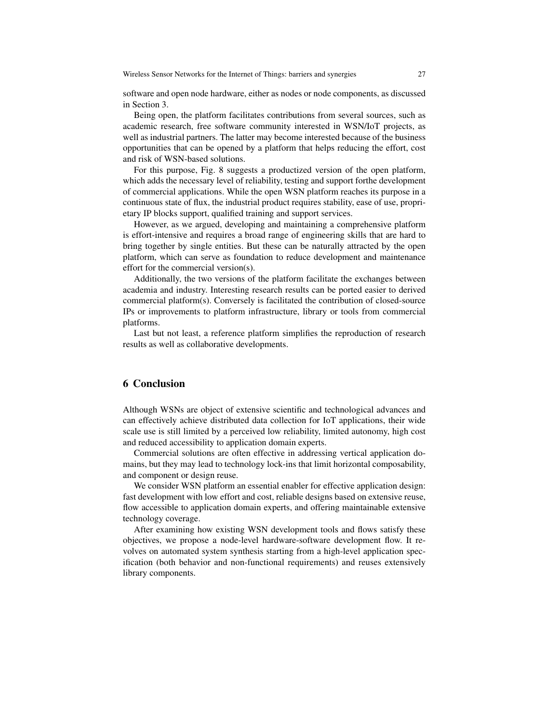software and open node hardware, either as nodes or node components, as discussed in Section 3.

Being open, the platform facilitates contributions from several sources, such as academic research, free software community interested in WSN/IoT projects, as well as industrial partners. The latter may become interested because of the business opportunities that can be opened by a platform that helps reducing the effort, cost and risk of WSN-based solutions.

For this purpose, Fig. 8 suggests a productized version of the open platform, which adds the necessary level of reliability, testing and support forthe development of commercial applications. While the open WSN platform reaches its purpose in a continuous state of flux, the industrial product requires stability, ease of use, proprietary IP blocks support, qualified training and support services.

However, as we argued, developing and maintaining a comprehensive platform is effort-intensive and requires a broad range of engineering skills that are hard to bring together by single entities. But these can be naturally attracted by the open platform, which can serve as foundation to reduce development and maintenance effort for the commercial version(s).

Additionally, the two versions of the platform facilitate the exchanges between academia and industry. Interesting research results can be ported easier to derived commercial platform(s). Conversely is facilitated the contribution of closed-source IPs or improvements to platform infrastructure, library or tools from commercial platforms.

Last but not least, a reference platform simplifies the reproduction of research results as well as collaborative developments.

# 6 Conclusion

Although WSNs are object of extensive scientific and technological advances and can effectively achieve distributed data collection for IoT applications, their wide scale use is still limited by a perceived low reliability, limited autonomy, high cost and reduced accessibility to application domain experts.

Commercial solutions are often effective in addressing vertical application domains, but they may lead to technology lock-ins that limit horizontal composability, and component or design reuse.

We consider WSN platform an essential enabler for effective application design: fast development with low effort and cost, reliable designs based on extensive reuse, flow accessible to application domain experts, and offering maintainable extensive technology coverage.

After examining how existing WSN development tools and flows satisfy these objectives, we propose a node-level hardware-software development flow. It revolves on automated system synthesis starting from a high-level application specification (both behavior and non-functional requirements) and reuses extensively library components.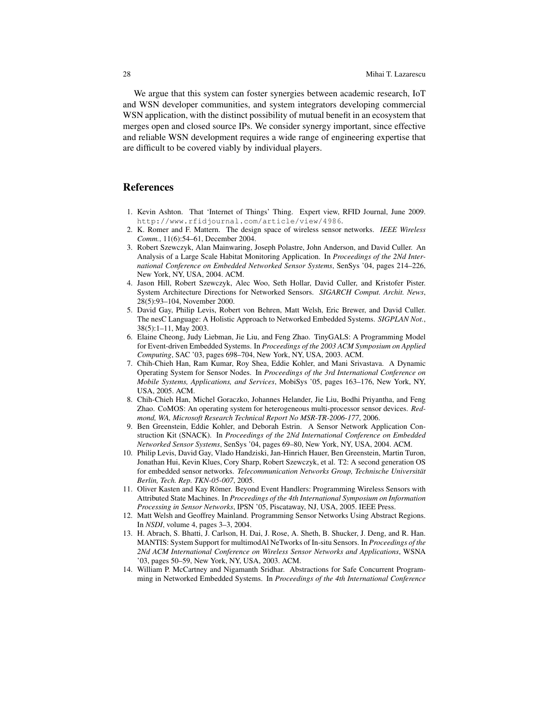We argue that this system can foster synergies between academic research, IoT and WSN developer communities, and system integrators developing commercial WSN application, with the distinct possibility of mutual benefit in an ecosystem that merges open and closed source IPs. We consider synergy important, since effective and reliable WSN development requires a wide range of engineering expertise that are difficult to be covered viably by individual players.

## References

- 1. Kevin Ashton. That 'Internet of Things' Thing. Expert view, RFID Journal, June 2009. http://www.rfidjournal.com/article/view/4986.
- 2. K. Romer and F. Mattern. The design space of wireless sensor networks. *IEEE Wireless Comm.*, 11(6):54–61, December 2004.
- 3. Robert Szewczyk, Alan Mainwaring, Joseph Polastre, John Anderson, and David Culler. An Analysis of a Large Scale Habitat Monitoring Application. In *Proceedings of the 2Nd International Conference on Embedded Networked Sensor Systems*, SenSys '04, pages 214–226, New York, NY, USA, 2004. ACM.
- 4. Jason Hill, Robert Szewczyk, Alec Woo, Seth Hollar, David Culler, and Kristofer Pister. System Architecture Directions for Networked Sensors. *SIGARCH Comput. Archit. News*, 28(5):93–104, November 2000.
- 5. David Gay, Philip Levis, Robert von Behren, Matt Welsh, Eric Brewer, and David Culler. The nesC Language: A Holistic Approach to Networked Embedded Systems. *SIGPLAN Not.*, 38(5):1–11, May 2003.
- 6. Elaine Cheong, Judy Liebman, Jie Liu, and Feng Zhao. TinyGALS: A Programming Model for Event-driven Embedded Systems. In *Proceedings of the 2003 ACM Symposium on Applied Computing*, SAC '03, pages 698–704, New York, NY, USA, 2003. ACM.
- 7. Chih-Chieh Han, Ram Kumar, Roy Shea, Eddie Kohler, and Mani Srivastava. A Dynamic Operating System for Sensor Nodes. In *Proceedings of the 3rd International Conference on Mobile Systems, Applications, and Services*, MobiSys '05, pages 163–176, New York, NY, USA, 2005. ACM.
- 8. Chih-Chieh Han, Michel Goraczko, Johannes Helander, Jie Liu, Bodhi Priyantha, and Feng Zhao. CoMOS: An operating system for heterogeneous multi-processor sensor devices. *Redmond, WA, Microsoft Research Technical Report No MSR-TR-2006-177*, 2006.
- 9. Ben Greenstein, Eddie Kohler, and Deborah Estrin. A Sensor Network Application Construction Kit (SNACK). In *Proceedings of the 2Nd International Conference on Embedded Networked Sensor Systems*, SenSys '04, pages 69–80, New York, NY, USA, 2004. ACM.
- 10. Philip Levis, David Gay, Vlado Handziski, Jan-Hinrich Hauer, Ben Greenstein, Martin Turon, Jonathan Hui, Kevin Klues, Cory Sharp, Robert Szewczyk, et al. T2: A second generation OS for embedded sensor networks. *Telecommunication Networks Group, Technische Universität Berlin, Tech. Rep. TKN-05-007*, 2005.
- 11. Oliver Kasten and Kay Römer. Beyond Event Handlers: Programming Wireless Sensors with Attributed State Machines. In *Proceedings of the 4th International Symposium on Information Processing in Sensor Networks*, IPSN '05, Piscataway, NJ, USA, 2005. IEEE Press.
- 12. Matt Welsh and Geoffrey Mainland. Programming Sensor Networks Using Abstract Regions. In *NSDI*, volume 4, pages 3–3, 2004.
- 13. H. Abrach, S. Bhatti, J. Carlson, H. Dai, J. Rose, A. Sheth, B. Shucker, J. Deng, and R. Han. MANTIS: System Support for multimodAl NeTworks of In-situ Sensors. In *Proceedings of the 2Nd ACM International Conference on Wireless Sensor Networks and Applications*, WSNA '03, pages 50–59, New York, NY, USA, 2003. ACM.
- 14. William P. McCartney and Nigamanth Sridhar. Abstractions for Safe Concurrent Programming in Networked Embedded Systems. In *Proceedings of the 4th International Conference*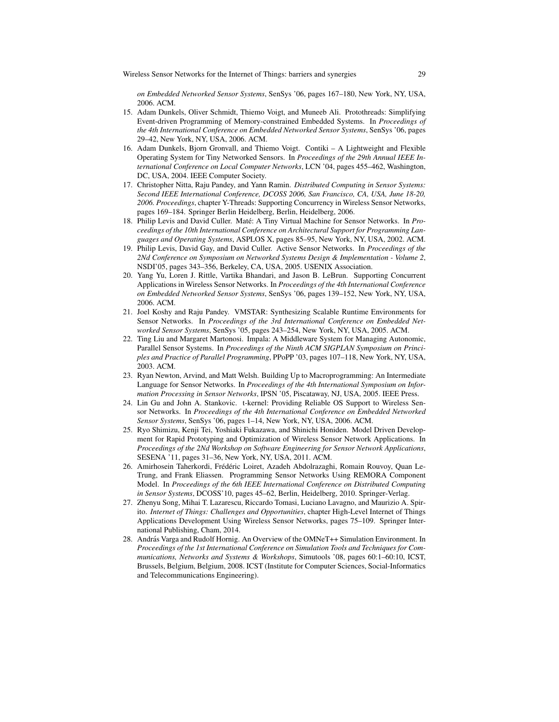*on Embedded Networked Sensor Systems*, SenSys '06, pages 167–180, New York, NY, USA, 2006. ACM.

- 15. Adam Dunkels, Oliver Schmidt, Thiemo Voigt, and Muneeb Ali. Protothreads: Simplifying Event-driven Programming of Memory-constrained Embedded Systems. In *Proceedings of the 4th International Conference on Embedded Networked Sensor Systems*, SenSys '06, pages 29–42, New York, NY, USA, 2006. ACM.
- 16. Adam Dunkels, Bjorn Gronvall, and Thiemo Voigt. Contiki A Lightweight and Flexible Operating System for Tiny Networked Sensors. In *Proceedings of the 29th Annual IEEE International Conference on Local Computer Networks*, LCN '04, pages 455–462, Washington, DC, USA, 2004. IEEE Computer Society.
- 17. Christopher Nitta, Raju Pandey, and Yann Ramin. *Distributed Computing in Sensor Systems: Second IEEE International Conference, DCOSS 2006, San Francisco, CA, USA, June 18-20, 2006. Proceedings*, chapter Y-Threads: Supporting Concurrency in Wireless Sensor Networks, pages 169–184. Springer Berlin Heidelberg, Berlin, Heidelberg, 2006.
- 18. Philip Levis and David Culler. Maté: A Tiny Virtual Machine for Sensor Networks. In Pro*ceedings of the 10th International Conference on Architectural Support for Programming Languages and Operating Systems*, ASPLOS X, pages 85–95, New York, NY, USA, 2002. ACM.
- 19. Philip Levis, David Gay, and David Culler. Active Sensor Networks. In *Proceedings of the 2Nd Conference on Symposium on Networked Systems Design & Implementation - Volume 2*, NSDI'05, pages 343–356, Berkeley, CA, USA, 2005. USENIX Association.
- 20. Yang Yu, Loren J. Rittle, Vartika Bhandari, and Jason B. LeBrun. Supporting Concurrent Applications in Wireless Sensor Networks. In *Proceedings of the 4th International Conference on Embedded Networked Sensor Systems*, SenSys '06, pages 139–152, New York, NY, USA, 2006. ACM.
- 21. Joel Koshy and Raju Pandey. VMSTAR: Synthesizing Scalable Runtime Environments for Sensor Networks. In *Proceedings of the 3rd International Conference on Embedded Networked Sensor Systems*, SenSys '05, pages 243–254, New York, NY, USA, 2005. ACM.
- 22. Ting Liu and Margaret Martonosi. Impala: A Middleware System for Managing Autonomic, Parallel Sensor Systems. In *Proceedings of the Ninth ACM SIGPLAN Symposium on Principles and Practice of Parallel Programming*, PPoPP '03, pages 107–118, New York, NY, USA, 2003. ACM.
- 23. Ryan Newton, Arvind, and Matt Welsh. Building Up to Macroprogramming: An Intermediate Language for Sensor Networks. In *Proceedings of the 4th International Symposium on Information Processing in Sensor Networks*, IPSN '05, Piscataway, NJ, USA, 2005. IEEE Press.
- 24. Lin Gu and John A. Stankovic. t-kernel: Providing Reliable OS Support to Wireless Sensor Networks. In *Proceedings of the 4th International Conference on Embedded Networked Sensor Systems*, SenSys '06, pages 1–14, New York, NY, USA, 2006. ACM.
- 25. Ryo Shimizu, Kenji Tei, Yoshiaki Fukazawa, and Shinichi Honiden. Model Driven Development for Rapid Prototyping and Optimization of Wireless Sensor Network Applications. In *Proceedings of the 2Nd Workshop on Software Engineering for Sensor Network Applications*, SESENA '11, pages 31–36, New York, NY, USA, 2011. ACM.
- 26. Amirhosein Taherkordi, Frédéric Loiret, Azadeh Abdolrazaghi, Romain Rouvoy, Quan Le-Trung, and Frank Eliassen. Programming Sensor Networks Using REMORA Component Model. In *Proceedings of the 6th IEEE International Conference on Distributed Computing in Sensor Systems*, DCOSS'10, pages 45–62, Berlin, Heidelberg, 2010. Springer-Verlag.
- 27. Zhenyu Song, Mihai T. Lazarescu, Riccardo Tomasi, Luciano Lavagno, and Maurizio A. Spirito. *Internet of Things: Challenges and Opportunities*, chapter High-Level Internet of Things Applications Development Using Wireless Sensor Networks, pages 75–109. Springer International Publishing, Cham, 2014.
- 28. András Varga and Rudolf Hornig. An Overview of the OMNeT++ Simulation Environment. In *Proceedings of the 1st International Conference on Simulation Tools and Techniques for Communications, Networks and Systems & Workshops*, Simutools '08, pages 60:1–60:10, ICST, Brussels, Belgium, Belgium, 2008. ICST (Institute for Computer Sciences, Social-Informatics and Telecommunications Engineering).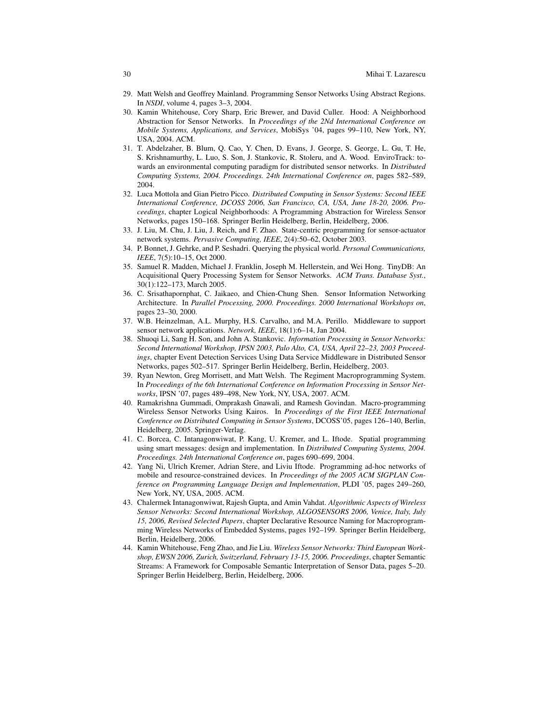- 29. Matt Welsh and Geoffrey Mainland. Programming Sensor Networks Using Abstract Regions. In *NSDI*, volume 4, pages 3–3, 2004.
- 30. Kamin Whitehouse, Cory Sharp, Eric Brewer, and David Culler. Hood: A Neighborhood Abstraction for Sensor Networks. In *Proceedings of the 2Nd International Conference on Mobile Systems, Applications, and Services*, MobiSys '04, pages 99–110, New York, NY, USA, 2004. ACM.
- 31. T. Abdelzaher, B. Blum, Q. Cao, Y. Chen, D. Evans, J. George, S. George, L. Gu, T. He, S. Krishnamurthy, L. Luo, S. Son, J. Stankovic, R. Stoleru, and A. Wood. EnviroTrack: towards an environmental computing paradigm for distributed sensor networks. In *Distributed Computing Systems, 2004. Proceedings. 24th International Conference on*, pages 582–589, 2004.
- 32. Luca Mottola and Gian Pietro Picco. *Distributed Computing in Sensor Systems: Second IEEE International Conference, DCOSS 2006, San Francisco, CA, USA, June 18-20, 2006. Proceedings*, chapter Logical Neighborhoods: A Programming Abstraction for Wireless Sensor Networks, pages 150–168. Springer Berlin Heidelberg, Berlin, Heidelberg, 2006.
- 33. J. Liu, M. Chu, J. Liu, J. Reich, and F. Zhao. State-centric programming for sensor-actuator network systems. *Pervasive Computing, IEEE*, 2(4):50–62, October 2003.
- 34. P. Bonnet, J. Gehrke, and P. Seshadri. Querying the physical world. *Personal Communications, IEEE*, 7(5):10–15, Oct 2000.
- 35. Samuel R. Madden, Michael J. Franklin, Joseph M. Hellerstein, and Wei Hong. TinyDB: An Acquisitional Query Processing System for Sensor Networks. *ACM Trans. Database Syst.*, 30(1):122–173, March 2005.
- 36. C. Srisathapornphat, C. Jaikaeo, and Chien-Chung Shen. Sensor Information Networking Architecture. In *Parallel Processing, 2000. Proceedings. 2000 International Workshops on*, pages 23–30, 2000.
- 37. W.B. Heinzelman, A.L. Murphy, H.S. Carvalho, and M.A. Perillo. Middleware to support sensor network applications. *Network, IEEE*, 18(1):6–14, Jan 2004.
- 38. Shuoqi Li, Sang H. Son, and John A. Stankovic. *Information Processing in Sensor Networks: Second International Workshop, IPSN 2003, Palo Alto, CA, USA, April 22–23, 2003 Proceedings*, chapter Event Detection Services Using Data Service Middleware in Distributed Sensor Networks, pages 502–517. Springer Berlin Heidelberg, Berlin, Heidelberg, 2003.
- 39. Ryan Newton, Greg Morrisett, and Matt Welsh. The Regiment Macroprogramming System. In *Proceedings of the 6th International Conference on Information Processing in Sensor Networks*, IPSN '07, pages 489–498, New York, NY, USA, 2007. ACM.
- 40. Ramakrishna Gummadi, Omprakash Gnawali, and Ramesh Govindan. Macro-programming Wireless Sensor Networks Using Kairos. In *Proceedings of the First IEEE International Conference on Distributed Computing in Sensor Systems*, DCOSS'05, pages 126–140, Berlin, Heidelberg, 2005. Springer-Verlag.
- 41. C. Borcea, C. Intanagonwiwat, P. Kang, U. Kremer, and L. Iftode. Spatial programming using smart messages: design and implementation. In *Distributed Computing Systems, 2004. Proceedings. 24th International Conference on*, pages 690–699, 2004.
- 42. Yang Ni, Ulrich Kremer, Adrian Stere, and Liviu Iftode. Programming ad-hoc networks of mobile and resource-constrained devices. In *Proceedings of the 2005 ACM SIGPLAN Conference on Programming Language Design and Implementation*, PLDI '05, pages 249–260, New York, NY, USA, 2005. ACM.
- 43. Chalermek Intanagonwiwat, Rajesh Gupta, and Amin Vahdat. *Algorithmic Aspects of Wireless Sensor Networks: Second International Workshop, ALGOSENSORS 2006, Venice, Italy, July 15, 2006, Revised Selected Papers*, chapter Declarative Resource Naming for Macroprogramming Wireless Networks of Embedded Systems, pages 192–199. Springer Berlin Heidelberg, Berlin, Heidelberg, 2006.
- 44. Kamin Whitehouse, Feng Zhao, and Jie Liu. *Wireless Sensor Networks: Third European Workshop, EWSN 2006, Zurich, Switzerland, February 13-15, 2006. Proceedings*, chapter Semantic Streams: A Framework for Composable Semantic Interpretation of Sensor Data, pages 5–20. Springer Berlin Heidelberg, Berlin, Heidelberg, 2006.